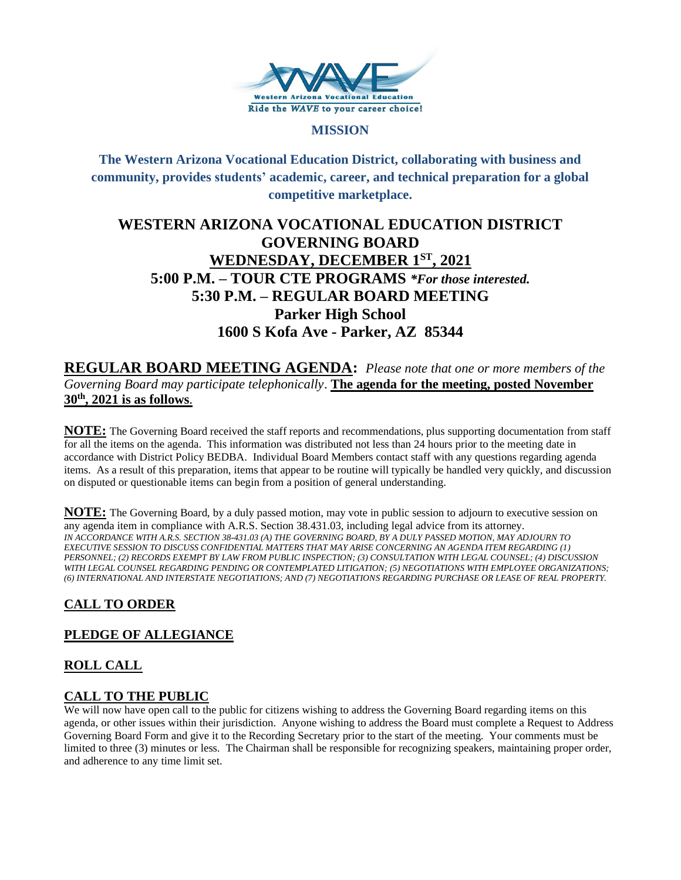

#### **MISSION**

**The Western Arizona Vocational Education District, collaborating with business and community, provides students' academic, career, and technical preparation for a global competitive marketplace.**

# **WESTERN ARIZONA VOCATIONAL EDUCATION DISTRICT GOVERNING BOARD WEDNESDAY, DECEMBER 1ST , 2021 5:00 P.M. – TOUR CTE PROGRAMS** *\*For those interested.*  **5:30 P.M. – REGULAR BOARD MEETING Parker High School 1600 S Kofa Ave - Parker, AZ 85344**

**REGULAR BOARD MEETING AGENDA:** *Please note that one or more members of the Governing Board may participate telephonically*. **The agenda for the meeting, posted November 30th , 2021 is as follows**.

**NOTE:** The Governing Board received the staff reports and recommendations, plus supporting documentation from staff for all the items on the agenda. This information was distributed not less than 24 hours prior to the meeting date in accordance with District Policy BEDBA. Individual Board Members contact staff with any questions regarding agenda items. As a result of this preparation, items that appear to be routine will typically be handled very quickly, and discussion on disputed or questionable items can begin from a position of general understanding.

**NOTE:** The Governing Board, by a duly passed motion, may vote in public session to adjourn to executive session on any agenda item in compliance with A.R.S. Section 38.431.03, including legal advice from its attorney. *IN ACCORDANCE WITH A.R.S. SECTION 38-431.03 (A) THE GOVERNING BOARD, BY A DULY PASSED MOTION, MAY ADJOURN TO EXECUTIVE SESSION TO DISCUSS CONFIDENTIAL MATTERS THAT MAY ARISE CONCERNING AN AGENDA ITEM REGARDING (1) PERSONNEL; (2) RECORDS EXEMPT BY LAW FROM PUBLIC INSPECTION; (3) CONSULTATION WITH LEGAL COUNSEL; (4) DISCUSSION WITH LEGAL COUNSEL REGARDING PENDING OR CONTEMPLATED LITIGATION; (5) NEGOTIATIONS WITH EMPLOYEE ORGANIZATIONS; (6) INTERNATIONAL AND INTERSTATE NEGOTIATIONS; AND (7) NEGOTIATIONS REGARDING PURCHASE OR LEASE OF REAL PROPERTY.*

## **CALL TO ORDER**

### **PLEDGE OF ALLEGIANCE**

### **ROLL CALL**

### **CALL TO THE PUBLIC**

We will now have open call to the public for citizens wishing to address the Governing Board regarding items on this agenda, or other issues within their jurisdiction. Anyone wishing to address the Board must complete a Request to Address Governing Board Form and give it to the Recording Secretary prior to the start of the meeting. Your comments must be limited to three (3) minutes or less. The Chairman shall be responsible for recognizing speakers, maintaining proper order, and adherence to any time limit set.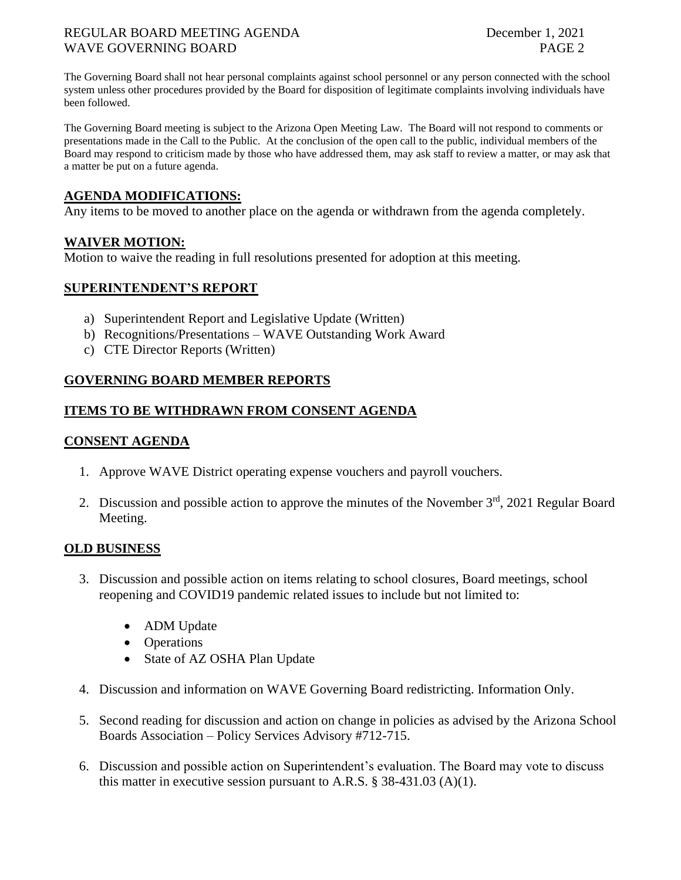#### REGULAR BOARD MEETING AGENDA December 1, 2021 WAVE GOVERNING BOARD **PAGE 2**

The Governing Board shall not hear personal complaints against school personnel or any person connected with the school system unless other procedures provided by the Board for disposition of legitimate complaints involving individuals have been followed.

The Governing Board meeting is subject to the Arizona Open Meeting Law. The Board will not respond to comments or presentations made in the Call to the Public. At the conclusion of the open call to the public, individual members of the Board may respond to criticism made by those who have addressed them, may ask staff to review a matter, or may ask that a matter be put on a future agenda.

## **AGENDA MODIFICATIONS:**

Any items to be moved to another place on the agenda or withdrawn from the agenda completely.

### **WAIVER MOTION:**

Motion to waive the reading in full resolutions presented for adoption at this meeting.

## **SUPERINTENDENT'S REPORT**

- a) Superintendent Report and Legislative Update (Written)
- b) Recognitions/Presentations WAVE Outstanding Work Award
- c) CTE Director Reports (Written)

## **GOVERNING BOARD MEMBER REPORTS**

### **ITEMS TO BE WITHDRAWN FROM CONSENT AGENDA**

### **CONSENT AGENDA**

- 1. Approve WAVE District operating expense vouchers and payroll vouchers.
- 2. Discussion and possible action to approve the minutes of the November  $3<sup>rd</sup>$ , 2021 Regular Board Meeting.

### **OLD BUSINESS**

- 3. Discussion and possible action on items relating to school closures, Board meetings, school reopening and COVID19 pandemic related issues to include but not limited to:
	- ADM Update
	- Operations
	- State of AZ OSHA Plan Update
- 4. Discussion and information on WAVE Governing Board redistricting. Information Only.
- 5. Second reading for discussion and action on change in policies as advised by the Arizona School Boards Association – Policy Services Advisory #712-715.
- 6. Discussion and possible action on Superintendent's evaluation. The Board may vote to discuss this matter in executive session pursuant to A.R.S.  $\S$  38-431.03 (A)(1).